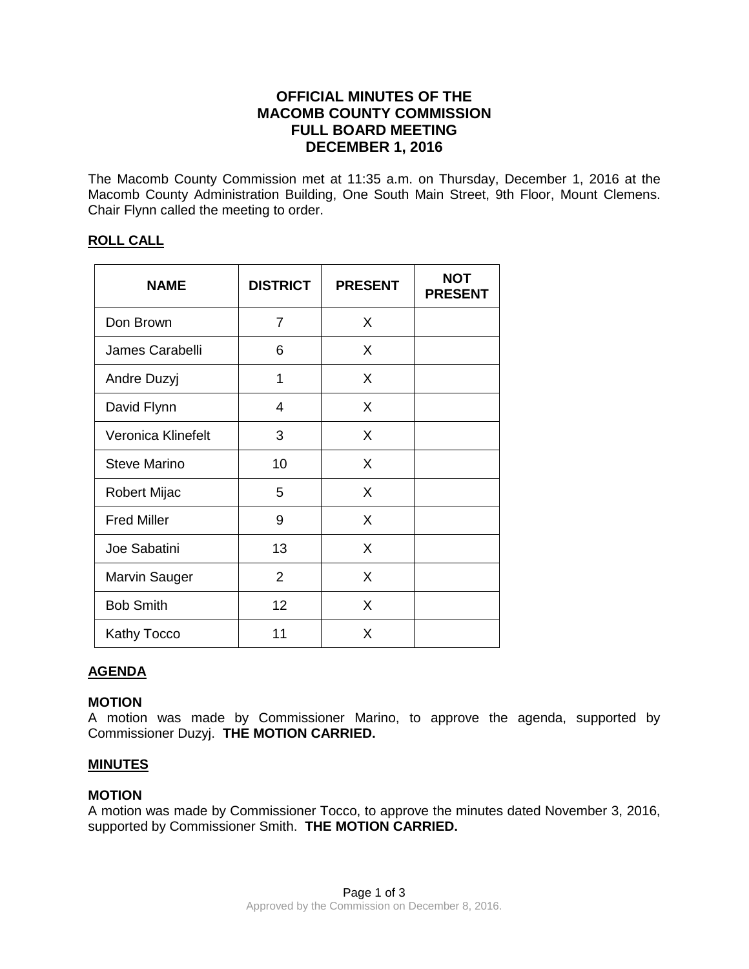# **OFFICIAL MINUTES OF THE MACOMB COUNTY COMMISSION FULL BOARD MEETING DECEMBER 1, 2016**

The Macomb County Commission met at 11:35 a.m. on Thursday, December 1, 2016 at the Macomb County Administration Building, One South Main Street, 9th Floor, Mount Clemens. Chair Flynn called the meeting to order.

## **ROLL CALL**

| <b>NAME</b>         | <b>DISTRICT</b> | <b>PRESENT</b> | <b>NOT</b><br><b>PRESENT</b> |
|---------------------|-----------------|----------------|------------------------------|
| Don Brown           | 7               | X              |                              |
| James Carabelli     | 6               | X              |                              |
| Andre Duzyj         | 1               | X              |                              |
| David Flynn         | 4               | X              |                              |
| Veronica Klinefelt  | 3               | X              |                              |
| <b>Steve Marino</b> | 10              | X              |                              |
| Robert Mijac        | 5               | X              |                              |
| <b>Fred Miller</b>  | 9               | X              |                              |
| Joe Sabatini        | 13              | X              |                              |
| Marvin Sauger       | $\overline{2}$  | X              |                              |
| <b>Bob Smith</b>    | 12              | X              |                              |
| <b>Kathy Tocco</b>  | 11              | X              |                              |

# **AGENDA**

## **MOTION**

A motion was made by Commissioner Marino, to approve the agenda, supported by Commissioner Duzyj. **THE MOTION CARRIED.**

## **MINUTES**

## **MOTION**

A motion was made by Commissioner Tocco, to approve the minutes dated November 3, 2016, supported by Commissioner Smith. **THE MOTION CARRIED.**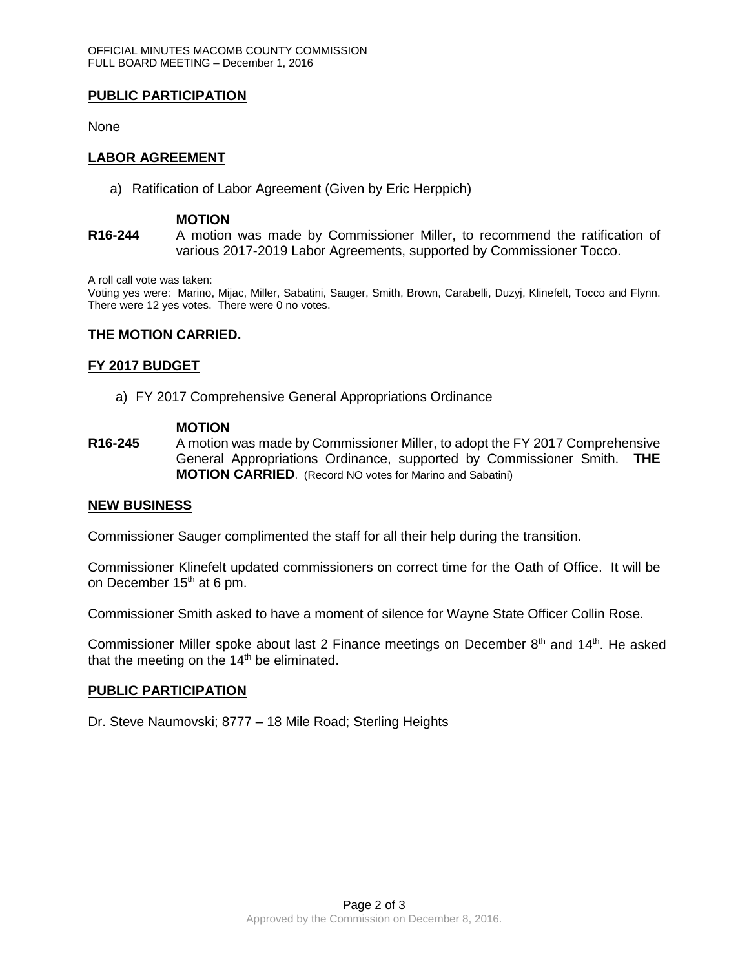## **PUBLIC PARTICIPATION**

None

## **LABOR AGREEMENT**

a) Ratification of Labor Agreement (Given by Eric Herppich)

#### **MOTION**

**R16-244** A motion was made by Commissioner Miller, to recommend the ratification of various 2017-2019 Labor Agreements, supported by Commissioner Tocco.

A roll call vote was taken:

Voting yes were: Marino, Mijac, Miller, Sabatini, Sauger, Smith, Brown, Carabelli, Duzyj, Klinefelt, Tocco and Flynn. There were 12 yes votes. There were 0 no votes.

#### **THE MOTION CARRIED.**

#### **FY 2017 BUDGET**

a) FY 2017 Comprehensive General Appropriations Ordinance

#### **MOTION**

**R16-245** A motion was made by Commissioner Miller, to adopt the FY 2017 Comprehensive General Appropriations Ordinance, supported by Commissioner Smith. **THE MOTION CARRIED**. (Record NO votes for Marino and Sabatini)

## **NEW BUSINESS**

Commissioner Sauger complimented the staff for all their help during the transition.

Commissioner Klinefelt updated commissioners on correct time for the Oath of Office. It will be on December 15<sup>th</sup> at 6 pm.

Commissioner Smith asked to have a moment of silence for Wayne State Officer Collin Rose.

Commissioner Miller spoke about last 2 Finance meetings on December  $8<sup>th</sup>$  and  $14<sup>th</sup>$ . He asked that the meeting on the  $14<sup>th</sup>$  be eliminated.

## **PUBLIC PARTICIPATION**

Dr. Steve Naumovski; 8777 – 18 Mile Road; Sterling Heights